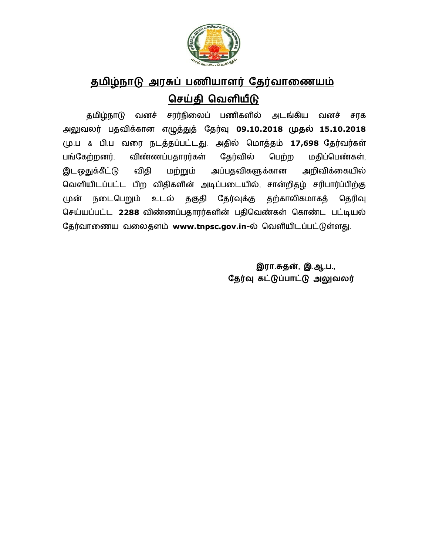

## <u>தமிழ்நாடு அரசுப் பணியாளர் தேர்வாணையம்</u> செய்தி வெளியீடு

தமிழ்நாடு வனச் சரர்நிலைப் பணிகளில் அடங்கிய வனச் சரக அலுவலர் பதவிக்கான எழுத்துத் தேர்வு 09.10.2018 முதல் 15.10.2018 (மு.ப & பி.ப வரை நடத்தப்பட்டது. அதில் மொத்தம் 17,698 தேர்வர்கள் பங்கேற்றனர். விண்ணப்பதாரர்கள் தேர்வில் பெற்ற மதிப்பெண்கள், இடஒதுக்கீட்டு விதி மற்றும் அப்பதவிகளுக்கான அறிவிக்கையில் வெளியிடப்பட்ட பிற விதிகளின் அடிப்படையில், சான்றிதழ் சரிபார்ப்பிற்கு முன் நடைபெறும் உடல் தகுதி தேர்வுக்கு தற்காலிகமாகத் தெரிவு செய்யப்பட்ட 2288 விண்ணப்பதாரர்களின் பதிவெண்கள் கொண்ட பட்டியல் தேர்வாணைய வலைதளம் www.tnpsc.gov.in-ல் வெளியிடப்பட்டுள்ளது.

> **இரா.சுதன், இ.ஆ.ப.,** தேர்வு கட்டுப்பாட்டு அலுவலர்